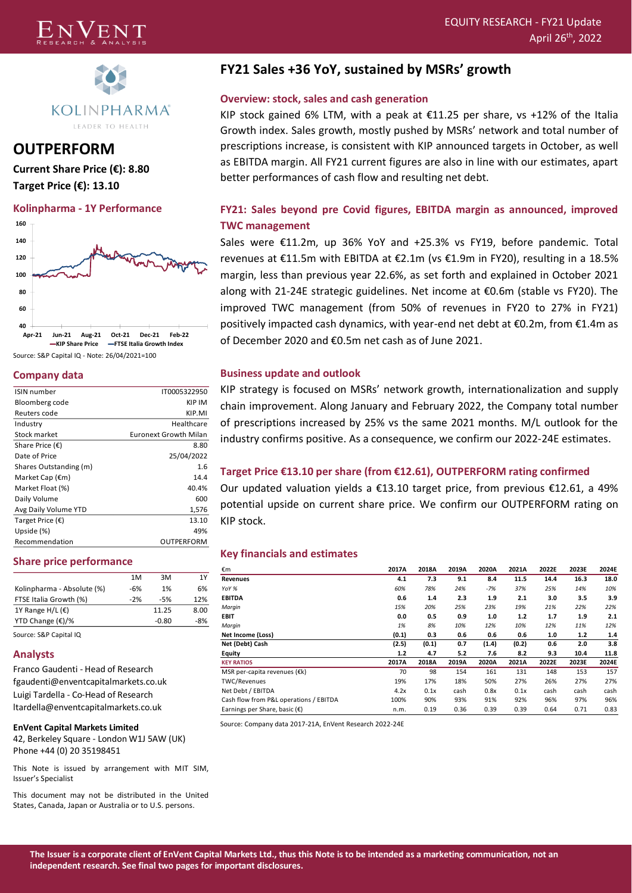



**OUTPERFORM Current Share Price (€): 8.80 Target Price (€): 13.10**

#### **Kolinpharma - 1Y Performance**



Source: S&P Capital IQ - Note: 26/04/2021=100

### **Company data**

| <b>ISIN number</b>        | IT0005322950          |
|---------------------------|-----------------------|
| Bloomberg code            | KIP IM                |
| Reuters code              | KIP.MI                |
| Industry                  | Healthcare            |
| Stock market              | Euronext Growth Milan |
| Share Price $(\epsilon)$  | 8.80                  |
| Date of Price             | 25/04/2022            |
| Shares Outstanding (m)    | 1.6                   |
| Market Cap $(\epsilon m)$ | 14.4                  |
| Market Float (%)          | 40.4%                 |
| Daily Volume              | 600                   |
| Avg Daily Volume YTD      | 1,576                 |
| Target Price $(\epsilon)$ | 13.10                 |
| Upside (%)                | 49%                   |
| Recommendation            | OUTPERFORM            |
|                           |                       |

#### **Share price performance**

|                            | 1M    | 3M      | 1Y    |
|----------------------------|-------|---------|-------|
| Kolinpharma - Absolute (%) | $-6%$ | 1%      | 6%    |
| FTSE Italia Growth (%)     | $-2%$ | $-5%$   | 12%   |
| 1Y Range H/L $(\epsilon)$  |       | 11.25   | 8.00  |
| YTD Change $(\epsilon)/\%$ |       | $-0.80$ | $-8%$ |

Source: S&P Capital IQ

#### **Analysts**

Franco Gaudenti - Head of Research fgaudenti@enventcapitalmarkets.co.uk Luigi Tardella - Co-Head of Research ltardella@enventcapitalmarkets.co.uk

#### **EnVent Capital Markets Limited**

42, Berkeley Square - London W1J 5AW (UK) Phone +44 (0) 20 35198451

This Note is issued by arrangement with MIT SIM, Issuer's Specialist

This document may not be distributed in the United States, Canada, Japan or Australia or to U.S. persons.

## **FY21 Sales +36 YoY, sustained by MSRs' growth**

### **Overview: stock, sales and cash generation**

KIP stock gained 6% LTM, with a peak at  $\epsilon$ 11.25 per share, vs +12% of the Italia Growth index. Sales growth, mostly pushed by MSRs' network and total number of prescriptions increase, is consistent with KIP announced targets in October, as well as EBITDA margin. All FY21 current figures are also in line with our estimates, apart better performances of cash flow and resulting net debt.

## **FY21: Sales beyond pre Covid figures, EBITDA margin as announced, improved TWC management**

Sales were €11.2m, up 36% YoY and +25.3% vs FY19, before pandemic. Total revenues at €11.5m with EBITDA at €2.1m (vs €1.9m in FY20), resulting in a 18.5% margin, less than previous year 22.6%, as set forth and explained in October 2021 along with 21-24E strategic guidelines. Net income at €0.6m (stable vs FY20). The improved TWC management (from 50% of revenues in FY20 to 27% in FY21) positively impacted cash dynamics, with year-end net debt at €0.2m, from €1.4m as of December 2020 and €0.5m net cash as of June 2021.

### **Business update and outlook**

KIP strategy is focused on MSRs' network growth, internationalization and supply chain improvement. Along January and February 2022, the Company total number of prescriptions increased by 25% vs the same 2021 months. M/L outlook for the industry confirms positive. As a consequence, we confirm our 2022-24E estimates.

### **Target Price €13.10 per share (from €12.61), OUTPERFORM rating confirmed**

Our updated valuation yields a €13.10 target price, from previous €12.61, a 49% potential upside on current share price. We confirm our OUTPERFORM rating on KIP stock.

#### **Key financials and estimates**

| €m                                     | 2017A | 2018A | 2019A | 2020A | 2021A | 2022E | 2023E | 2024E |
|----------------------------------------|-------|-------|-------|-------|-------|-------|-------|-------|
| <b>Revenues</b>                        | 4.1   | 7.3   | 9.1   | 8.4   | 11.5  | 14.4  | 16.3  | 18.0  |
| YoY %                                  | 60%   | 78%   | 24%   | $-7%$ | 37%   | 25%   | 14%   | 10%   |
| <b>EBITDA</b>                          | 0.6   | 1.4   | 2.3   | 1.9   | 2.1   | 3.0   | 3.5   | 3.9   |
| Marqin                                 | 15%   | 20%   | 25%   | 23%   | 19%   | 21%   | 22%   | 22%   |
| EBIT                                   | 0.0   | 0.5   | 0.9   | 1.0   | 1.2   | 1.7   | 1.9   | 2.1   |
| Marqin                                 | 1%    | 8%    | 10%   | 12%   | 10%   | 12%   | 11%   | 12%   |
| Net Income (Loss)                      | (0.1) | 0.3   | 0.6   | 0.6   | 0.6   | 1.0   | 1.2   | 1.4   |
| Net (Debt) Cash                        | (2.5) | (0.1) | 0.7   | (1.4) | (0.2) | 0.6   | 2.0   | 3.8   |
| Equity                                 | 1.2   | 4.7   | 5.2   | 7.6   | 8.2   | 9.3   | 10.4  | 11.8  |
| <b>KEY RATIOS</b>                      | 2017A | 2018A | 2019A | 2020A | 2021A | 2022E | 2023E | 2024E |
| MSR per-capita revenues (€k)           | 70    | 98    | 154   | 161   | 131   | 148   | 153   | 157   |
| TWC/Revenues                           | 19%   | 17%   | 18%   | 50%   | 27%   | 26%   | 27%   | 27%   |
| Net Debt / EBITDA                      | 4.2x  | 0.1x  | cash  | 0.8x  | 0.1x  | cash  | cash  | cash  |
| Cash flow from P&L operations / EBITDA | 100%  | 90%   | 93%   | 91%   | 92%   | 96%   | 97%   | 96%   |
| Earnings per Share, basic (€)          | n.m.  | 0.19  | 0.36  | 0.39  | 0.39  | 0.64  | 0.71  | 0.83  |

Source: Company data 2017-21A, EnVent Research 2022-24E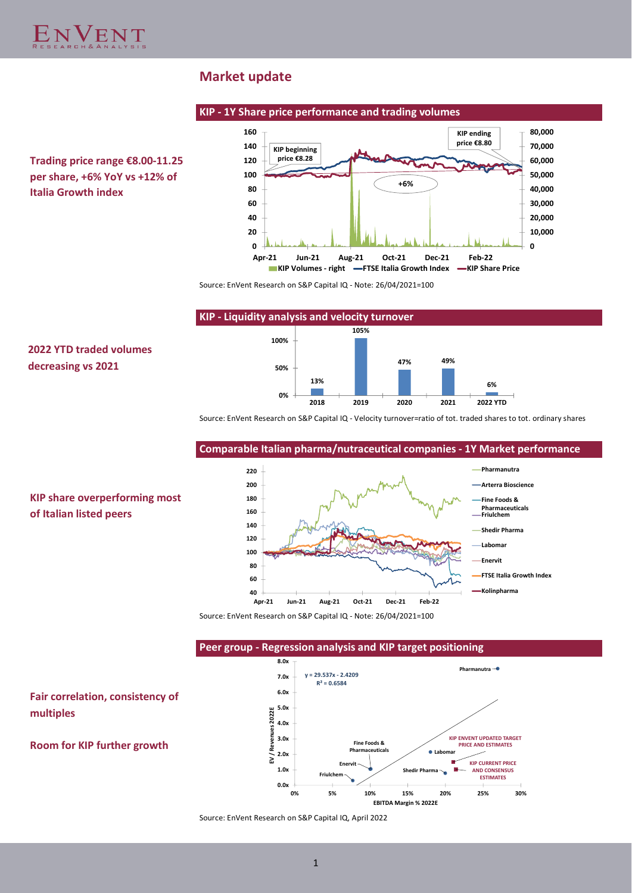

## **Market update**



**2022 YTD traded volumes** 

**KIP share overperforming most** 

**of Italian listed peers**

**multiples**

**decreasing vs 2021**



Source: EnVent Research on S&P Capital IQ - Note: 26/04/2021=100



Source: EnVent Research on S&P Capital IQ - Velocity turnover=ratio of tot. traded shares to tot. ordinary shares

## **Comparable Italian pharma/nutraceutical companies - 1Y Market performance**



Source: EnVent Research on S&P Capital IQ - Note: 26/04/2021=100

**Peer group - Regression analysis and KIP target positioning**



Source: EnVent Research on S&P Capital IQ, April 2022

1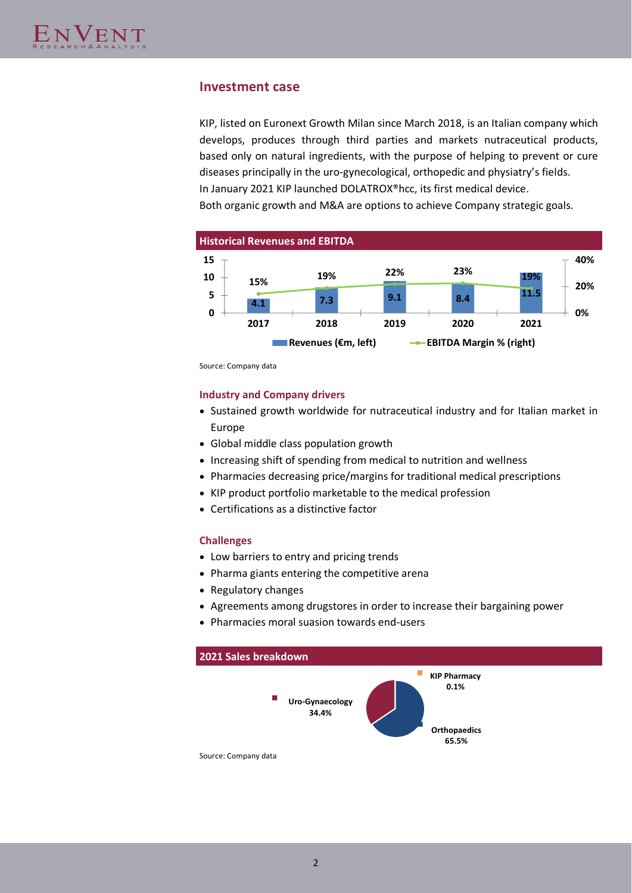## **Investment case**

KIP, listed on Euronext Growth Milan since March 2018, is an Italian company which develops, produces through third parties and markets nutraceutical products, based only on natural ingredients, with the purpose of helping to prevent or cure diseases principally in the uro-gynecological, orthopedic and physiatry's fields. In January 2021 KIP launched DOLATROX®hcc, its first medical device. Both organic growth and M&A are options to achieve Company strategic goals.



Source: Company data

### **Industry and Company drivers**

- Sustained growth worldwide for nutraceutical industry and for Italian market in Europe
- Global middle class population growth
- Increasing shift of spending from medical to nutrition and wellness
- Pharmacies decreasing price/margins for traditional medical prescriptions
- KIP product portfolio marketable to the medical profession
- Certifications as a distinctive factor

### **Challenges**

- Low barriers to entry and pricing trends
- Pharma giants entering the competitive arena
- Regulatory changes
- Agreements among drugstores in order to increase their bargaining power
- Pharmacies moral suasion towards end-users

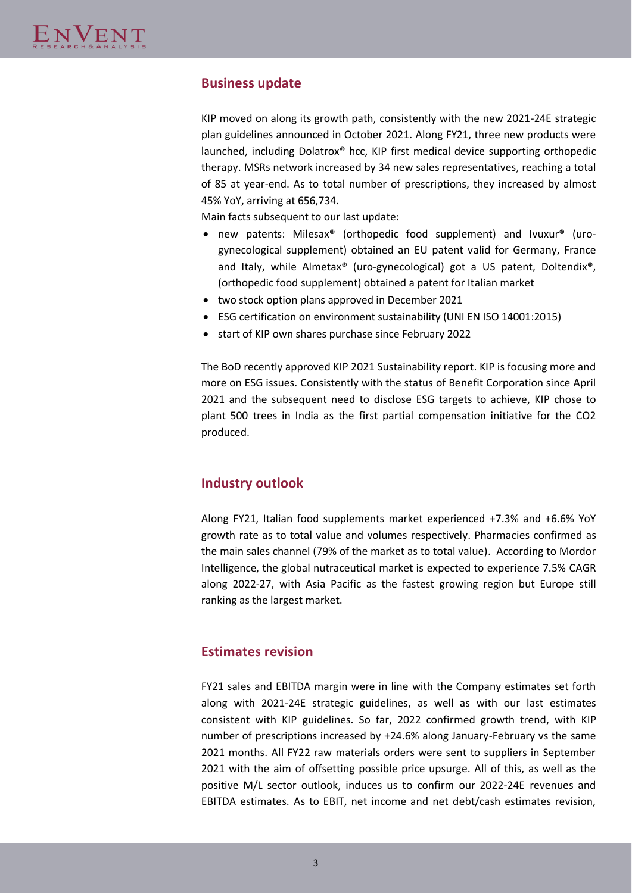# **Business update**

KIP moved on along its growth path, consistently with the new 2021-24E strategic plan guidelines announced in October 2021. Along FY21, three new products were launched, including Dolatrox® hcc, KIP first medical device supporting orthopedic therapy. MSRs network increased by 34 new sales representatives, reaching a total of 85 at year-end. As to total number of prescriptions, they increased by almost 45% YoY, arriving at 656,734.

Main facts subsequent to our last update:

- new patents: Milesax® (orthopedic food supplement) and Ivuxur® (urogynecological supplement) obtained an EU patent valid for Germany, France and Italy, while Almetax® (uro-gynecological) got a US patent, Doltendix®, (orthopedic food supplement) obtained a patent for Italian market
- two stock option plans approved in December 2021
- ESG certification on environment sustainability (UNI EN ISO 14001:2015)
- start of KIP own shares purchase since February 2022

The BoD recently approved KIP 2021 Sustainability report. KIP is focusing more and more on ESG issues. Consistently with the status of Benefit Corporation since April 2021 and the subsequent need to disclose ESG targets to achieve, KIP chose to plant 500 trees in India as the first partial compensation initiative for the CO2 produced.

## **Industry outlook**

Along FY21, Italian food supplements market experienced +7.3% and +6.6% YoY growth rate as to total value and volumes respectively. Pharmacies confirmed as the main sales channel (79% of the market as to total value). According to Mordor Intelligence, the global nutraceutical market is expected to experience 7.5% CAGR along 2022-27, with Asia Pacific as the fastest growing region but Europe still ranking as the largest market.

## **Estimates revision**

FY21 sales and EBITDA margin were in line with the Company estimates set forth along with 2021-24E strategic guidelines, as well as with our last estimates consistent with KIP guidelines. So far, 2022 confirmed growth trend, with KIP number of prescriptions increased by +24.6% along January-February vs the same 2021 months. All FY22 raw materials orders were sent to suppliers in September 2021 with the aim of offsetting possible price upsurge. All of this, as well as the positive M/L sector outlook, induces us to confirm our 2022-24E revenues and EBITDA estimates. As to EBIT, net income and net debt/cash estimates revision,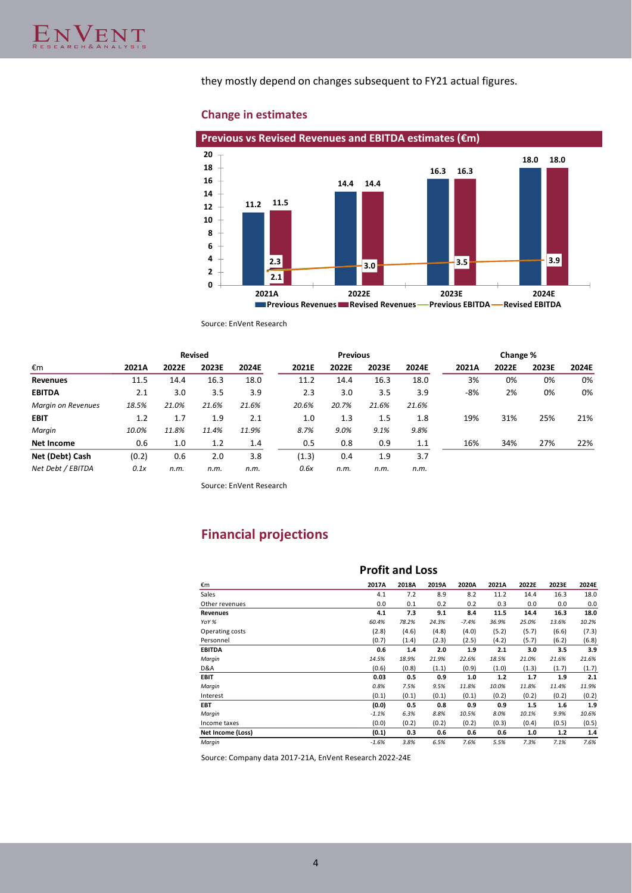they mostly depend on changes subsequent to FY21 actual figures.

## **Change in estimates**



Source: EnVent Research

|                           | <b>Revised</b> |       |       |       |       | <b>Previous</b> |       |       |       | Change % |       |       |
|---------------------------|----------------|-------|-------|-------|-------|-----------------|-------|-------|-------|----------|-------|-------|
| €m                        | 2021A          | 2022E | 2023E | 2024E | 2021E | 2022E           | 2023E | 2024E | 2021A | 2022E    | 2023E | 2024E |
| Revenues                  | 11.5           | 14.4  | 16.3  | 18.0  | 11.2  | 14.4            | 16.3  | 18.0  | 3%    | 0%       | 0%    | 0%    |
| <b>EBITDA</b>             | 2.1            | 3.0   | 3.5   | 3.9   | 2.3   | 3.0             | 3.5   | 3.9   | -8%   | 2%       | 0%    | 0%    |
| <b>Margin on Revenues</b> | 18.5%          | 21.0% | 21.6% | 21.6% | 20.6% | 20.7%           | 21.6% | 21.6% |       |          |       |       |
| <b>EBIT</b>               | 1.2            | 1.7   | 1.9   | 2.1   | 1.0   | 1.3             | 1.5   | 1.8   | 19%   | 31%      | 25%   | 21%   |
| Margin                    | 10.0%          | 11.8% | 11.4% | 11.9% | 8.7%  | 9.0%            | 9.1%  | 9.8%  |       |          |       |       |
| Net Income                | 0.6            | 1.0   | 1.2   | 1.4   | 0.5   | 0.8             | 0.9   | 1.1   | 16%   | 34%      | 27%   | 22%   |
| Net (Debt) Cash           | (0.2)          | 0.6   | 2.0   | 3.8   | (1.3) | 0.4             | 1.9   | 3.7   |       |          |       |       |
| Net Debt / EBITDA         | 0.1x           | n.m.  | n.m.  | n.m.  | 0.6x  | n.m.            | n.m.  | n.m.  |       |          |       |       |

Source: EnVent Research

# **Financial projections**

|                   | <b>Profit and Loss</b> |       |       |         |       |       |       |       |
|-------------------|------------------------|-------|-------|---------|-------|-------|-------|-------|
| €m                | 2017A                  | 2018A | 2019A | 2020A   | 2021A | 2022E | 2023E | 2024E |
| Sales             | 4.1                    | 7.2   | 8.9   | 8.2     | 11.2  | 14.4  | 16.3  | 18.0  |
| Other revenues    | 0.0                    | 0.1   | 0.2   | 0.2     | 0.3   | 0.0   | 0.0   | 0.0   |
| <b>Revenues</b>   | 4.1                    | 7.3   | 9.1   | 8.4     | 11.5  | 14.4  | 16.3  | 18.0  |
| YoY %             | 60.4%                  | 78.2% | 24.3% | $-7.4%$ | 36.9% | 25.0% | 13.6% | 10.2% |
| Operating costs   | (2.8)                  | (4.6) | (4.8) | (4.0)   | (5.2) | (5.7) | (6.6) | (7.3) |
| Personnel         | (0.7)                  | (1.4) | (2.3) | (2.5)   | (4.2) | (5.7) | (6.2) | (6.8) |
| <b>EBITDA</b>     | 0.6                    | 1.4   | 2.0   | 1.9     | 2.1   | 3.0   | 3.5   | 3.9   |
| Margin            | 14.5%                  | 18.9% | 21.9% | 22.6%   | 18.5% | 21.0% | 21.6% | 21.6% |
| D&A               | (0.6)                  | (0.8) | (1.1) | (0.9)   | (1.0) | (1.3) | (1.7) | (1.7) |
| <b>EBIT</b>       | 0.03                   | 0.5   | 0.9   | 1.0     | $1.2$ | 1.7   | 1.9   | 2.1   |
| Margin            | 0.8%                   | 7.5%  | 9.5%  | 11.8%   | 10.0% | 11.8% | 11.4% | 11.9% |
| Interest          | (0.1)                  | (0.1) | (0.1) | (0.1)   | (0.2) | (0.2) | (0.2) | (0.2) |
| EBT.              | (0.0)                  | 0.5   | 0.8   | 0.9     | 0.9   | 1.5   | 1.6   | 1.9   |
| Margin            | $-1.1%$                | 6.3%  | 8.8%  | 10.5%   | 8.0%  | 10.1% | 9.9%  | 10.6% |
| Income taxes      | (0.0)                  | (0.2) | (0.2) | (0.2)   | (0.3) | (0.4) | (0.5) | (0.5) |
| Net Income (Loss) | (0.1)                  | 0.3   | 0.6   | 0.6     | 0.6   | 1.0   | 1.2   | 1.4   |
| Margin            | $-1.6%$                | 3.8%  | 6.5%  | 7.6%    | 5.5%  | 7.3%  | 7.1%  | 7.6%  |

Source: Company data 2017-21A, EnVent Research 2022-24E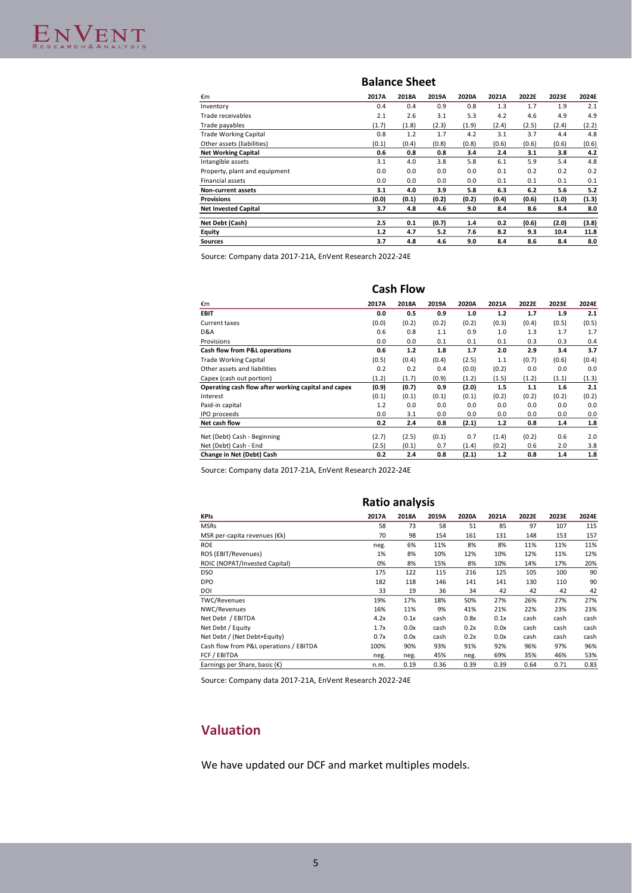### **Balance Sheet**

| €m                            | 2017A   | 2018A | 2019A | 2020A | 2021A | 2022E | 2023E | 2024E |
|-------------------------------|---------|-------|-------|-------|-------|-------|-------|-------|
| Inventory                     | 0.4     | 0.4   | 0.9   | 0.8   | 1.3   | 1.7   | 1.9   | 2.1   |
| Trade receivables             | 2.1     | 2.6   | 3.1   | 5.3   | 4.2   | 4.6   | 4.9   | 4.9   |
| Trade payables                | (1.7)   | (1.8) | (2.3) | (1.9) | (2.4) | (2.5) | (2.4) | (2.2) |
| <b>Trade Working Capital</b>  | 0.8     | 1.2   | 1.7   | 4.2   | 3.1   | 3.7   | 4.4   | 4.8   |
| Other assets (liabilities)    | (0.1)   | (0.4) | (0.8) | (0.8) | (0.6) | (0.6) | (0.6) | (0.6) |
| <b>Net Working Capital</b>    | 0.6     | 0.8   | 0.8   | 3.4   | 2.4   | 3.1   | 3.8   | 4.2   |
| Intangible assets             | 3.1     | 4.0   | 3.8   | 5.8   | 6.1   | 5.9   | 5.4   | 4.8   |
| Property, plant and equipment | 0.0     | 0.0   | 0.0   | 0.0   | 0.1   | 0.2   | 0.2   | 0.2   |
| <b>Financial assets</b>       | 0.0     | 0.0   | 0.0   | 0.0   | 0.1   | 0.1   | 0.1   | 0.1   |
| <b>Non-current assets</b>     | 3.1     | 4.0   | 3.9   | 5.8   | 6.3   | 6.2   | 5.6   | 5.2   |
| <b>Provisions</b>             | (0.0)   | (0.1) | (0.2) | (0.2) | (0.4) | (0.6) | (1.0) | (1.3) |
| <b>Net Invested Capital</b>   | 3.7     | 4.8   | 4.6   | 9.0   | 8.4   | 8.6   | 8.4   | 8.0   |
| Net Debt (Cash)               | $2.5\,$ | 0.1   | (0.7) | 1.4   | 0.2   | (0.6) | (2.0) | (3.8) |
| Equity                        | 1.2     | 4.7   | 5.2   | 7.6   | 8.2   | 9.3   | 10.4  | 11.8  |
| <b>Sources</b>                | 3.7     | 4.8   | 4.6   | 9.0   | 8.4   | 8.6   | 8.4   | 8.0   |

Source: Company data 2017-21A, EnVent Research 2022-24E

|                                                     | <b>Cash Flow</b> |       |       |       |       |       |       |       |  |  |
|-----------------------------------------------------|------------------|-------|-------|-------|-------|-------|-------|-------|--|--|
| €m                                                  | 2017A            | 2018A | 2019A | 2020A | 2021A | 2022E | 2023E | 2024E |  |  |
| <b>EBIT</b>                                         | 0.0              | 0.5   | 0.9   | 1.0   | 1.2   | 1.7   | 1.9   | 2.1   |  |  |
| Current taxes                                       | (0.0)            | (0.2) | (0.2) | (0.2) | (0.3) | (0.4) | (0.5) | (0.5) |  |  |
| D&A                                                 | 0.6              | 0.8   | 1.1   | 0.9   | 1.0   | 1.3   | 1.7   | 1.7   |  |  |
| Provisions                                          | 0.0              | 0.0   | 0.1   | 0.1   | 0.1   | 0.3   | 0.3   | 0.4   |  |  |
| Cash flow from P&L operations                       | 0.6              | 1.2   | 1.8   | 1.7   | 2.0   | 2.9   | 3.4   | 3.7   |  |  |
| <b>Trade Working Capital</b>                        | (0.5)            | (0.4) | (0.4) | (2.5) | 1.1   | (0.7) | (0.6) | (0.4) |  |  |
| Other assets and liabilities                        | 0.2              | 0.2   | 0.4   | (0.0) | (0.2) | 0.0   | 0.0   | 0.0   |  |  |
| Capex (cash out portion)                            | (1.2)            | (1.7) | (0.9) | (1.2) | (1.5) | (1.2) | (1.1) | (1.3) |  |  |
| Operating cash flow after working capital and capex | (0.9)            | (0.7) | 0.9   | (2.0) | 1.5   | 1.1   | 1.6   | 2.1   |  |  |
| Interest                                            | (0.1)            | (0.1) | (0.1) | (0.1) | (0.2) | (0.2) | (0.2) | (0.2) |  |  |
| Paid-in capital                                     | 1.2              | 0.0   | 0.0   | 0.0   | 0.0   | 0.0   | 0.0   | 0.0   |  |  |
| IPO proceeds                                        | 0.0              | 3.1   | 0.0   | 0.0   | 0.0   | 0.0   | 0.0   | 0.0   |  |  |
| Net cash flow                                       | 0.2              | 2.4   | 0.8   | (2.1) | 1.2   | 0.8   | 1.4   | 1.8   |  |  |
| Net (Debt) Cash - Beginning                         | (2.7)            | (2.5) | (0.1) | 0.7   | (1.4) | (0.2) | 0.6   | 2.0   |  |  |
| Net (Debt) Cash - End                               | (2.5)            | (0.1) | 0.7   | (1.4) | (0.2) | 0.6   | 2.0   | 3.8   |  |  |
| Change in Net (Debt) Cash                           | 0.2              | 2.4   | 0.8   | (2.1) | 1.2   | 0.8   | 1.4   | 1.8   |  |  |

Source: Company data 2017-21A, EnVent Research 2022-24E

|                                         |       | Ratio analysis |       |       |       |       |       |       |
|-----------------------------------------|-------|----------------|-------|-------|-------|-------|-------|-------|
| <b>KPIs</b>                             | 2017A | 2018A          | 2019A | 2020A | 2021A | 2022E | 2023E | 2024E |
| <b>MSRs</b>                             | 58    | 73             | 58    | 51    | 85    | 97    | 107   | 115   |
| MSR per-capita revenues ( $\epsilon$ k) | 70    | 98             | 154   | 161   | 131   | 148   | 153   | 157   |
| <b>ROE</b>                              | neg.  | 6%             | 11%   | 8%    | 8%    | 11%   | 11%   | 11%   |
| ROS (EBIT/Revenues)                     | 1%    | 8%             | 10%   | 12%   | 10%   | 12%   | 11%   | 12%   |
| ROIC (NOPAT/Invested Capital)           | 0%    | 8%             | 15%   | 8%    | 10%   | 14%   | 17%   | 20%   |
| <b>DSO</b>                              | 175   | 122            | 115   | 216   | 125   | 105   | 100   | 90    |
| <b>DPO</b>                              | 182   | 118            | 146   | 141   | 141   | 130   | 110   | 90    |
| DOI                                     | 33    | 19             | 36    | 34    | 42    | 42    | 42    | 42    |
| TWC/Revenues                            | 19%   | 17%            | 18%   | 50%   | 27%   | 26%   | 27%   | 27%   |
| NWC/Revenues                            | 16%   | 11%            | 9%    | 41%   | 21%   | 22%   | 23%   | 23%   |
| Net Debt / EBITDA                       | 4.2x  | 0.1x           | cash  | 0.8x  | 0.1x  | cash  | cash  | cash  |
| Net Debt / Equity                       | 1.7x  | 0.0x           | cash  | 0.2x  | 0.0x  | cash  | cash  | cash  |
| Net Debt / (Net Debt+Equity)            | 0.7x  | 0.0x           | cash  | 0.2x  | 0.0x  | cash  | cash  | cash  |
| Cash flow from P&L operations / EBITDA  | 100%  | 90%            | 93%   | 91%   | 92%   | 96%   | 97%   | 96%   |
| FCF / EBITDA                            | neg.  | neg.           | 45%   | neg.  | 69%   | 35%   | 46%   | 53%   |
| Earnings per Share, basic $(\epsilon)$  | n.m.  | 0.19           | 0.36  | 0.39  | 0.39  | 0.64  | 0.71  | 0.83  |

Source: Company data 2017-21A, EnVent Research 2022-24E

# **Valuation**

We have updated our DCF and market multiples models.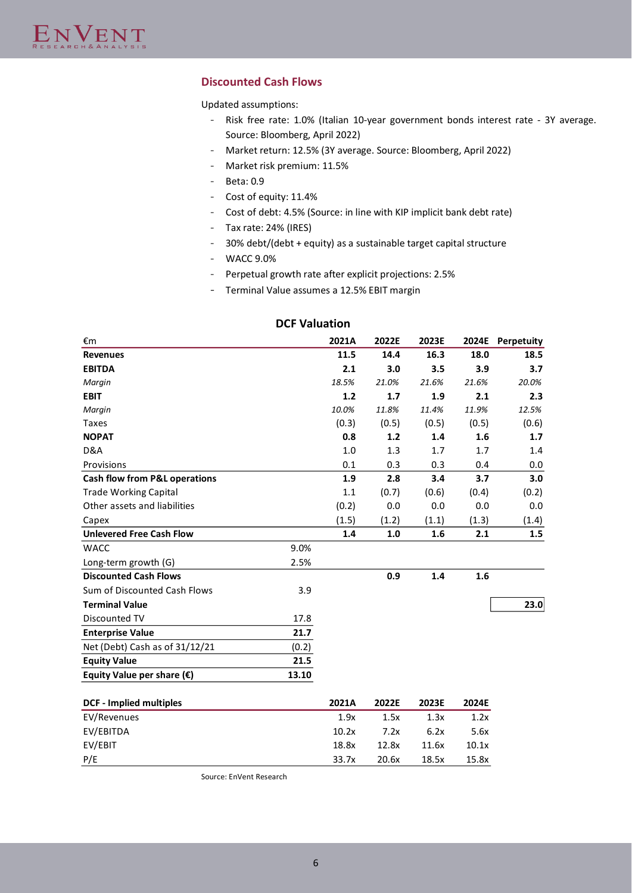## **Discounted Cash Flows**

Updated assumptions:

- Risk free rate: 1.0% (Italian 10-year government bonds interest rate 3Y average. Source: Bloomberg, April 2022)
- Market return: 12.5% (3Y average. Source: Bloomberg, April 2022)
- Market risk premium: 11.5%
- Beta: 0.9
- Cost of equity: 11.4%
- Cost of debt: 4.5% (Source: in line with KIP implicit bank debt rate)
- Tax rate: 24% (IRES)
- 30% debt/(debt + equity) as a sustainable target capital structure
- WACC 9.0%
- Perpetual growth rate after explicit projections: 2.5%
- Terminal Value assumes a 12.5% EBIT margin

| €m                                  |       | 2021A | 2022E | 2023E |       | 2024E Perpetuity |
|-------------------------------------|-------|-------|-------|-------|-------|------------------|
| <b>Revenues</b>                     |       | 11.5  | 14.4  | 16.3  | 18.0  | 18.5             |
| <b>EBITDA</b>                       |       | 2.1   | 3.0   | 3.5   | 3.9   | 3.7              |
| Margin                              |       | 18.5% | 21.0% | 21.6% | 21.6% | 20.0%            |
| <b>EBIT</b>                         |       | 1.2   | 1.7   | 1.9   | 2.1   | 2.3              |
| Margin                              |       | 10.0% | 11.8% | 11.4% | 11.9% | 12.5%            |
| <b>Taxes</b>                        |       | (0.3) | (0.5) | (0.5) | (0.5) | (0.6)            |
| <b>NOPAT</b>                        |       | 0.8   | 1.2   | 1.4   | 1.6   | 1.7              |
| D&A                                 |       | 1.0   | 1.3   | 1.7   | 1.7   | 1.4              |
| Provisions                          |       | 0.1   | 0.3   | 0.3   | 0.4   | 0.0              |
| Cash flow from P&L operations       |       | 1.9   | 2.8   | 3.4   | 3.7   | 3.0              |
| <b>Trade Working Capital</b>        |       | 1.1   | (0.7) | (0.6) | (0.4) | (0.2)            |
| Other assets and liabilities        |       | (0.2) | 0.0   | 0.0   | 0.0   | 0.0              |
| Capex                               |       | (1.5) | (1.2) | (1.1) | (1.3) | (1.4)            |
| <b>Unlevered Free Cash Flow</b>     |       | 1.4   | 1.0   | 1.6   | 2.1   | 1.5              |
| <b>WACC</b>                         | 9.0%  |       |       |       |       |                  |
| Long-term growth (G)                | 2.5%  |       |       |       |       |                  |
| <b>Discounted Cash Flows</b>        |       |       | 0.9   | 1.4   | 1.6   |                  |
| Sum of Discounted Cash Flows        | 3.9   |       |       |       |       |                  |
| <b>Terminal Value</b>               |       |       |       |       |       | 23.0             |
| Discounted TV                       | 17.8  |       |       |       |       |                  |
| <b>Enterprise Value</b>             | 21.7  |       |       |       |       |                  |
| Net (Debt) Cash as of 31/12/21      | (0.2) |       |       |       |       |                  |
| <b>Equity Value</b>                 | 21.5  |       |       |       |       |                  |
| Equity Value per share $(\epsilon)$ | 13.10 |       |       |       |       |                  |
| <b>DCF - Implied multiples</b>      |       | 2021A | 2022E | 2023E | 2024E |                  |
| EV/Revenues                         |       | 1.9x  | 1.5x  | 1.3x  | 1.2x  |                  |
| EV/EBITDA                           |       | 10.2x | 7.2x  | 6.2x  | 5.6x  |                  |
| EV/EBIT                             |       | 18.8x | 12.8x | 11.6x | 10.1x |                  |

## **DCF Valuation**

Source: EnVent Research

P/E 33.7x 20.6x 18.5x 15.8x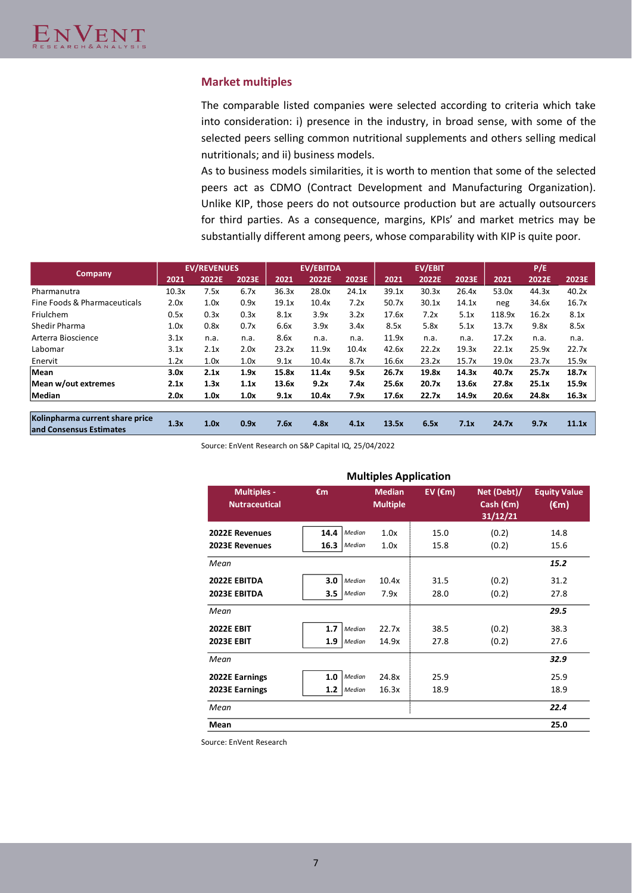### **Market multiples**

The comparable listed companies were selected according to criteria which take into consideration: i) presence in the industry, in broad sense, with some of the selected peers selling common nutritional supplements and others selling medical nutritionals; and ii) business models.

As to business models similarities, it is worth to mention that some of the selected peers act as CDMO (Contract Development and Manufacturing Organization). Unlike KIP, those peers do not outsource production but are actually outsourcers for third parties. As a consequence, margins, KPIs' and market metrics may be substantially different among peers, whose comparability with KIP is quite poor.

|                                                            |       | <b>EV/REVENUES</b> |       |       | <b>EV/EBITDA</b> |       |       | <b>EV/EBIT</b> |       |        | P/E   |       |
|------------------------------------------------------------|-------|--------------------|-------|-------|------------------|-------|-------|----------------|-------|--------|-------|-------|
| <b>Company</b>                                             | 2021  | 2022E              | 2023E | 2021  | 2022E            | 2023E | 2021  | 2022E          | 2023E | 2021   | 2022E | 2023E |
| Pharmanutra                                                | 10.3x | 7.5x               | 6.7x  | 36.3x | 28.0x            | 24.1x | 39.1x | 30.3x          | 26.4x | 53.0x  | 44.3x | 40.2x |
| Fine Foods & Pharmaceuticals                               | 2.0x  | 1.0x               | 0.9x  | 19.1x | 10.4x            | 7.2x  | 50.7x | 30.1x          | 14.1x | neg    | 34.6x | 16.7x |
| Friulchem                                                  | 0.5x  | 0.3x               | 0.3x  | 8.1x  | 3.9x             | 3.2x  | 17.6x | 7.2x           | 5.1x  | 118.9x | 16.2x | 8.1x  |
| Shedir Pharma                                              | 1.0x  | 0.8x               | 0.7x  | 6.6x  | 3.9x             | 3.4x  | 8.5x  | 5.8x           | 5.1x  | 13.7x  | 9.8x  | 8.5x  |
| Arterra Bioscience                                         | 3.1x  | n.a.               | n.a.  | 8.6x  | n.a.             | n.a.  | 11.9x | n.a.           | n.a.  | 17.2x  | n.a.  | n.a.  |
| Labomar                                                    | 3.1x  | 2.1x               | 2.0x  | 23.2x | 11.9x            | 10.4x | 42.6x | 22.2x          | 19.3x | 22.1x  | 25.9x | 22.7x |
| Enervit                                                    | 1.2x  | 1.0x               | 1.0x  | 9.1x  | 10.4x            | 8.7x  | 16.6x | 23.2x          | 15.7x | 19.0x  | 23.7x | 15.9x |
| Mean                                                       | 3.0x  | 2.1x               | 1.9x  | 15.8x | 11.4x            | 9.5x  | 26.7x | 19.8x          | 14.3x | 40.7x  | 25.7x | 18.7x |
| Mean w/out extremes                                        | 2.1x  | 1.3x               | 1.1x  | 13.6x | 9.2x             | 7.4x  | 25.6x | 20.7x          | 13.6x | 27.8x  | 25.1x | 15.9x |
| Median                                                     | 2.0x  | 1.0x               | 1.0x  | 9.1x  | 10.4x            | 7.9x  | 17.6x | 22.7x          | 14.9x | 20.6x  | 24.8x | 16.3x |
| Kolinpharma current share price<br>and Consensus Estimates | 1.3x  | 1.0x               | 0.9x  | 7.6x  | 4.8x             | 4.1x  | 13.5x | 6.5x           | 7.1x  | 24.7x  | 9.7x  | 11.1x |

Source: EnVent Research on S&P Capital IQ, 25/04/2022

| <b>Multiples Application</b>               |                |                                  |                    |                                                |                                       |  |  |  |  |
|--------------------------------------------|----------------|----------------------------------|--------------------|------------------------------------------------|---------------------------------------|--|--|--|--|
| <b>Multiples -</b><br><b>Nutraceutical</b> | €m             | <b>Median</b><br><b>Multiple</b> | EV ( $\epsilon$ m) | Net (Debt)/<br>Cash $(\epsilon m)$<br>31/12/21 | <b>Equity Value</b><br>$(\epsilon m)$ |  |  |  |  |
| 2022E Revenues                             | 14.4<br>Median | 1.0x                             | 15.0               | (0.2)                                          | 14.8                                  |  |  |  |  |
| 2023E Revenues                             | 16.3<br>Median | 1.0x                             | 15.8               | (0.2)                                          | 15.6                                  |  |  |  |  |
| Mean                                       |                |                                  |                    |                                                | 15.2                                  |  |  |  |  |
| 2022E EBITDA                               | 3.0<br>Median  | 10.4x                            | 31.5               | (0.2)                                          | 31.2                                  |  |  |  |  |
| 2023E EBITDA                               | 3.5<br>Median  | 7.9x                             | 28.0               | (0.2)                                          | 27.8                                  |  |  |  |  |
| Mean                                       |                |                                  |                    |                                                | 29.5                                  |  |  |  |  |
| <b>2022E EBIT</b>                          | 1.7<br>Median  | 22.7x                            | 38.5               | (0.2)                                          | 38.3                                  |  |  |  |  |
| <b>2023E EBIT</b>                          | 1.9<br>Median  | 14.9x                            | 27.8               | (0.2)                                          | 27.6                                  |  |  |  |  |
| Mean                                       |                |                                  |                    |                                                | 32.9                                  |  |  |  |  |
| 2022E Earnings                             | 1.0<br>Median  | 24.8x                            | 25.9               |                                                | 25.9                                  |  |  |  |  |
| 2023E Earnings                             | 1.2<br>Median  | 16.3x                            | 18.9               |                                                | 18.9                                  |  |  |  |  |
| Mean                                       |                |                                  |                    |                                                | 22.4                                  |  |  |  |  |
| Mean                                       |                |                                  |                    |                                                | 25.0                                  |  |  |  |  |

Source: EnVent Research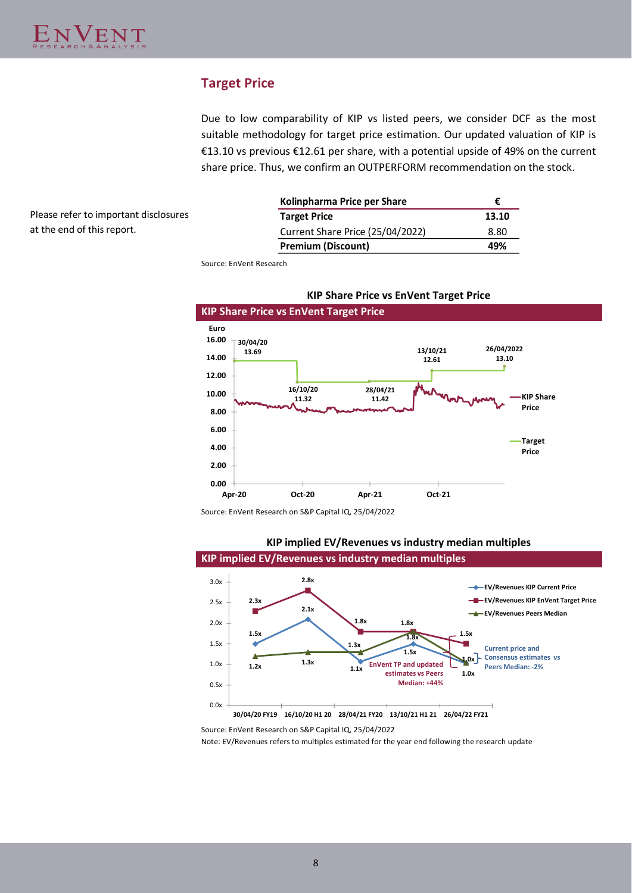# **Target Price**

Due to low comparability of KIP vs listed peers, we consider DCF as the most suitable methodology for target price estimation. Our updated valuation of KIP is €13.10 vs previous €12.61 per share, with a potential upside of 49% on the current share price. Thus, we confirm an OUTPERFORM recommendation on the stock.

Please refer to important disclosures at the end of this report.

| Kolinpharma Price per Share      | €     |
|----------------------------------|-------|
| <b>Target Price</b>              | 13.10 |
| Current Share Price (25/04/2022) | 8.80  |
| <b>Premium (Discount)</b>        | 49%   |

Source: EnVent Research



### **KIP Share Price vs EnVent Target Price**

Source: EnVent Research on S&P Capital IQ, 25/04/2022

# **KIP implied EV/Revenues vs industry median multiples**

**KIP implied EV/Revenues vs industry median multiples**



Source: EnVent Research on S&P Capital IQ, 25/04/2022

Note: EV/Revenues refers to multiples estimated for the year end following the research update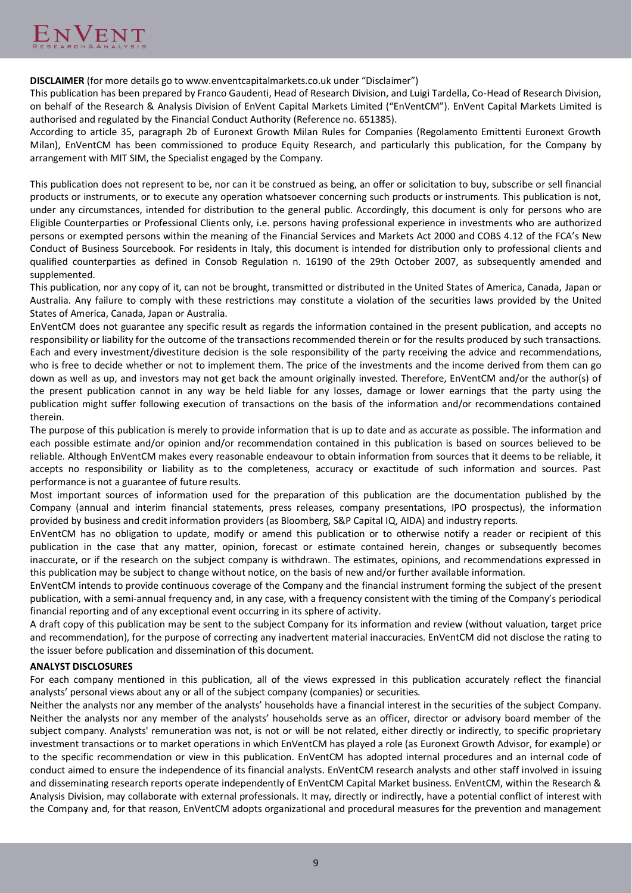**DISCLAIMER** (for more details go to www.enventcapitalmarkets.co.uk under "Disclaimer")

This publication has been prepared by Franco Gaudenti, Head of Research Division, and Luigi Tardella, Co-Head of Research Division, on behalf of the Research & Analysis Division of EnVent Capital Markets Limited ("EnVentCM"). EnVent Capital Markets Limited is authorised and regulated by the Financial Conduct Authority (Reference no. 651385).

According to article 35, paragraph 2b of Euronext Growth Milan Rules for Companies (Regolamento Emittenti Euronext Growth Milan), EnVentCM has been commissioned to produce Equity Research, and particularly this publication, for the Company by arrangement with MIT SIM, the Specialist engaged by the Company.

This publication does not represent to be, nor can it be construed as being, an offer or solicitation to buy, subscribe or sell financial products or instruments, or to execute any operation whatsoever concerning such products or instruments. This publication is not, under any circumstances, intended for distribution to the general public. Accordingly, this document is only for persons who are Eligible Counterparties or Professional Clients only, i.e. persons having professional experience in investments who are authorized persons or exempted persons within the meaning of the Financial Services and Markets Act 2000 and COBS 4.12 of the FCA's New Conduct of Business Sourcebook. For residents in Italy, this document is intended for distribution only to professional clients and qualified counterparties as defined in Consob Regulation n. 16190 of the 29th October 2007, as subsequently amended and supplemented.

This publication, nor any copy of it, can not be brought, transmitted or distributed in the United States of America, Canada, Japan or Australia. Any failure to comply with these restrictions may constitute a violation of the securities laws provided by the United States of America, Canada, Japan or Australia.

EnVentCM does not guarantee any specific result as regards the information contained in the present publication, and accepts no responsibility or liability for the outcome of the transactions recommended therein or for the results produced by such transactions. Each and every investment/divestiture decision is the sole responsibility of the party receiving the advice and recommendations, who is free to decide whether or not to implement them. The price of the investments and the income derived from them can go down as well as up, and investors may not get back the amount originally invested. Therefore, EnVentCM and/or the author(s) of the present publication cannot in any way be held liable for any losses, damage or lower earnings that the party using the publication might suffer following execution of transactions on the basis of the information and/or recommendations contained therein.

The purpose of this publication is merely to provide information that is up to date and as accurate as possible. The information and each possible estimate and/or opinion and/or recommendation contained in this publication is based on sources believed to be reliable. Although EnVentCM makes every reasonable endeavour to obtain information from sources that it deems to be reliable, it accepts no responsibility or liability as to the completeness, accuracy or exactitude of such information and sources. Past performance is not a guarantee of future results.

Most important sources of information used for the preparation of this publication are the documentation published by the Company (annual and interim financial statements, press releases, company presentations, IPO prospectus), the information provided by business and credit information providers (as Bloomberg, S&P Capital IQ, AIDA) and industry reports.

EnVentCM has no obligation to update, modify or amend this publication or to otherwise notify a reader or recipient of this publication in the case that any matter, opinion, forecast or estimate contained herein, changes or subsequently becomes inaccurate, or if the research on the subject company is withdrawn. The estimates, opinions, and recommendations expressed in this publication may be subject to change without notice, on the basis of new and/or further available information.

EnVentCM intends to provide continuous coverage of the Company and the financial instrument forming the subject of the present publication, with a semi-annual frequency and, in any case, with a frequency consistent with the timing of the Company's periodical financial reporting and of any exceptional event occurring in its sphere of activity.

A draft copy of this publication may be sent to the subject Company for its information and review (without valuation, target price and recommendation), for the purpose of correcting any inadvertent material inaccuracies. EnVentCM did not disclose the rating to the issuer before publication and dissemination of this document.

### **ANALYST DISCLOSURES**

For each company mentioned in this publication, all of the views expressed in this publication accurately reflect the financial analysts' personal views about any or all of the subject company (companies) or securities.

Neither the analysts nor any member of the analysts' households have a financial interest in the securities of the subject Company. Neither the analysts nor any member of the analysts' households serve as an officer, director or advisory board member of the subject company. Analysts' remuneration was not, is not or will be not related, either directly or indirectly, to specific proprietary investment transactions or to market operations in which EnVentCM has played a role (as Euronext Growth Advisor, for example) or to the specific recommendation or view in this publication. EnVentCM has adopted internal procedures and an internal code of conduct aimed to ensure the independence of its financial analysts. EnVentCM research analysts and other staff involved in issuing and disseminating research reports operate independently of EnVentCM Capital Market business. EnVentCM, within the Research & Analysis Division, may collaborate with external professionals. It may, directly or indirectly, have a potential conflict of interest with the Company and, for that reason, EnVentCM adopts organizational and procedural measures for the prevention and management